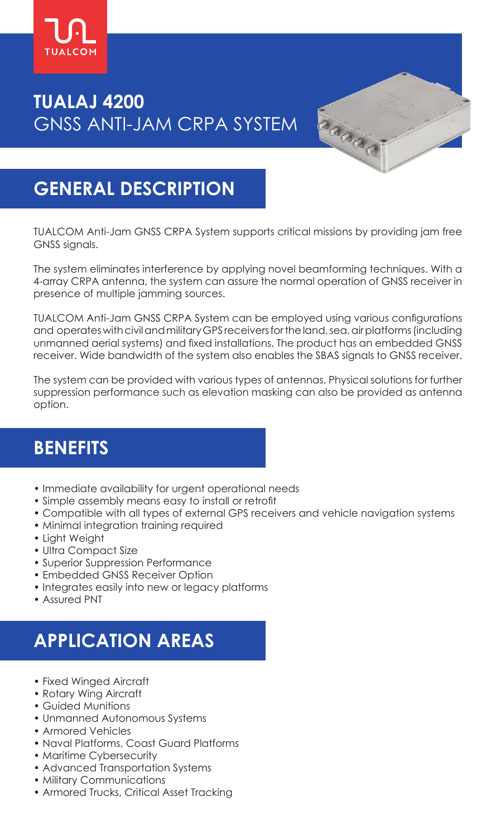

# **TUALAJ 4200** GNSS ANTI-JAM CRPA SYSTEM

## **GENERAL DESCRIPTION**

TUALCOM Anti-Jam GNSS CRPA System supports critical missions by providing jam free GNSS signals.

The system eliminates interference by applying novel beamforming techniques. With a 4-array CRPA antenna, the system can assure the normal operation of GNSS receiver in presence of multiple jamming sources.

TUALCOM Anti-Jam GNSS CRPA System can be employed using various configurations and operates with civil and military GPS receivers for the land, sea, air platforms (including unmanned aerial systems) and fixed installations. The product has an embedded GNSS receiver. Wide bandwidth of the system also enables the SBAS signals to GNSS receiver.

The system can be provided with various types of antennas. Physical solutions for further suppression performance such as elevation masking can also be provided as antenna option.

## **BENEFITS**

- Immediate availability for urgent operational needs
- Simple assembly means easy to install or retrofit
- Compatible with all types of external GPS receivers and vehicle navigation systems
- Minimal integration training required
- Light Weight
- Ultra Compact Size
- Superior Suppression Performance
- Embedded GNSS Receiver Option
- Integrates easily into new or legacy platforms
- Assured PNT

# **APPLICATION AREAS**

- Fixed Winged Aircraft
- Rotary Wing Aircraft
- Guided Munitions
- Unmanned Autonomous Systems
- Armored Vehicles
- Naval Platforms, Coast Guard Platforms
- Maritime Cybersecurity
- Advanced Transportation Systems
- Military Communications
- Armored Trucks, Critical Asset Tracking